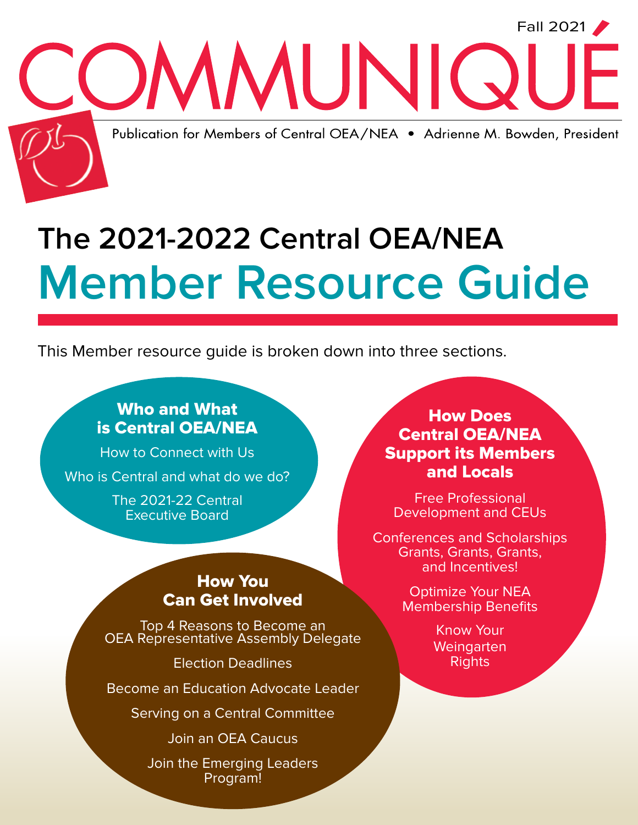

# **The 2021-2022 Central OEA/NEA Member Resource Guide**

This Member resource guide is broken down into three sections.

## Who and What is Central OEA/NEA

How to Connect with Us Who is Central and what do we do?

> The 2021-22 Central Executive Board

### How You Can Get Involved

Top 4 Reasons to Become an<br>OEA Representative Assembly Delegate

Election Deadlines

Become an Education Advocate Leader

Serving on a Central Committee

Join an OEA Caucus

Join the Emerging Leaders Program!

### How Does Central OEA/NEA Support its Members and Locals

Free Professional Development and CEUs

Conferences and Scholarships Grants, Grants, Grants, and Incentives!

> Optimize Your NEA Membership Benefits

> > Know Your **Weingarten** Rights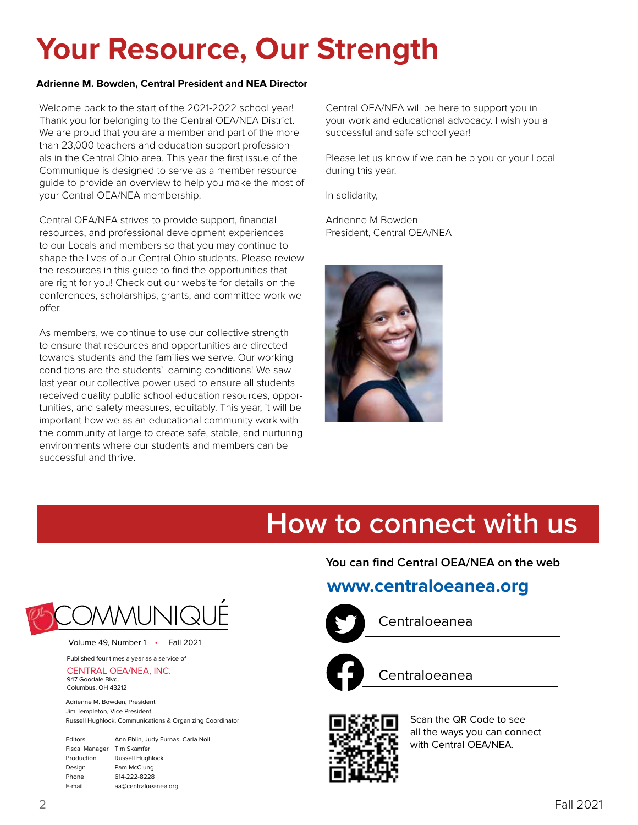# **Your Resource, Our Strength**

#### **Adrienne M. Bowden, Central President and NEA Director**

Welcome back to the start of the 2021-2022 school year! Thank you for belonging to the Central OEA/NEA District. We are proud that you are a member and part of the more than 23,000 teachers and education support professionals in the Central Ohio area. This year the first issue of the Communique is designed to serve as a member resource guide to provide an overview to help you make the most of your Central OEA/NEA membership.

Central OEA/NEA strives to provide support, financial resources, and professional development experiences to our Locals and members so that you may continue to shape the lives of our Central Ohio students. Please review the resources in this guide to find the opportunities that are right for you! Check out our website for details on the conferences, scholarships, grants, and committee work we offer.

As members, we continue to use our collective strength to ensure that resources and opportunities are directed towards students and the families we serve. Our working conditions are the students' learning conditions! We saw last year our collective power used to ensure all students received quality public school education resources, opportunities, and safety measures, equitably. This year, it will be important how we as an educational community work with the community at large to create safe, stable, and nurturing environments where our students and members can be successful and thrive.

Central OEA/NEA will be here to support you in your work and educational advocacy. I wish you a successful and safe school year!

Please let us know if we can help you or your Local during this year.

In solidarity,

Adrienne M Bowden President, Central OEA/NEA



# **How to connect with us**

#### **You can find Central OEA/NEA on the web**

### **www.centraloeanea.org**



Centraloeanea



Centraloeanea



Scan the QR Code to see all the ways you can connect with Central OEA/NEA.



Volume 49, Number 1 • Fall 2021

Published four times a year as a service of CENTRAL OEA/NEA, INC.

947 Goodale Blvd. Columbus, OH 43212

Adrienne M. Bowden, President Jim Templeton, Vice President Russell Hughlock, Communications & Organizing Coordinator

| Editors        | Ann Eblin, Judy Furnas, Carla Noll |  |
|----------------|------------------------------------|--|
| Fiscal Manager | Tim Skamfer                        |  |
| Production     | Russell Hughlock                   |  |
| Design         | Pam McClung                        |  |
| Phone          | 614-222-8228                       |  |
| E-mail         | aa@centraloeanea.org               |  |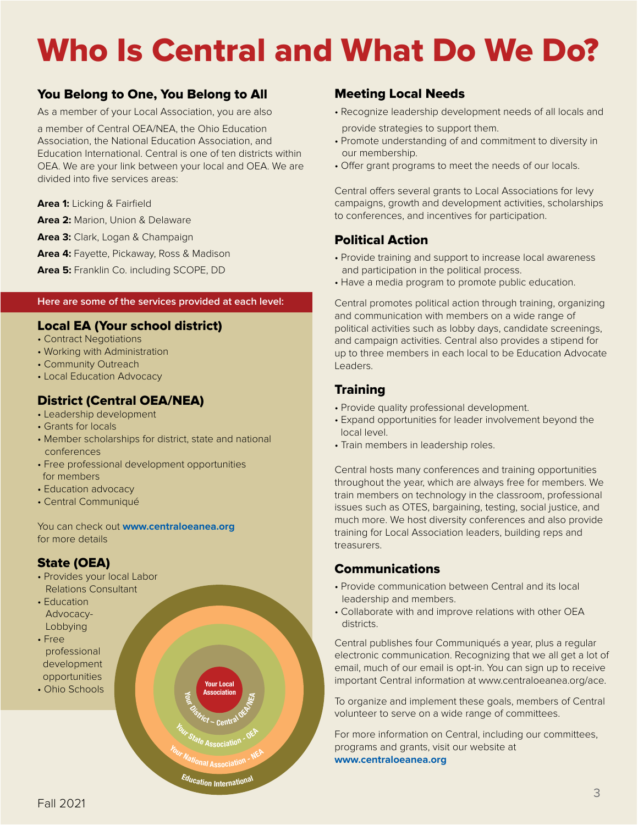# Who Is Central and What Do We Do?

#### You Belong to One, You Belong to All

As a member of your Local Association, you are also

a member of Central OEA/NEA, the Ohio Education Association, the National Education Association, and Education International. Central is one of ten districts within OEA. We are your link between your local and OEA. We are divided into five services areas:

- **Area 1:** Licking & Fairfield
- **Area 2:** Marion, Union & Delaware
- **Area 3:** Clark, Logan & Champaign
- **Area 4:** Fayette, Pickaway, Ross & Madison
- **Area 5:** Franklin Co. including SCOPE, DD

#### **Here are some of the services provided at each level:**

#### Local EA (Your school district)

- Contract Negotiations
- Working with Administration
- Community Outreach
- Local Education Advocacy

#### District (Central OEA/NEA)

- Leadership development
- Grants for locals
- Member scholarships for district, state and national conferences
- Free professional development opportunities for members
- Education advocacy
- Central Communiqué

You can check out **www.centraloeanea.org** for more details

#### State (OEA)

- Provides your local Labor Relations Consultant
- Education Advocacy- Lobbying
- Free professional development opportunities • Ohio Schools

Meeting Local Needs

- Recognize leadership development needs of all locals and provide strategies to support them.
- Promote understanding of and commitment to diversity in our membership.
- Offer grant programs to meet the needs of our locals.

Central offers several grants to Local Associations for levy campaigns, growth and development activities, scholarships to conferences, and incentives for participation.

#### Political Action

- Provide training and support to increase local awareness and participation in the political process.
- Have a media program to promote public education.

Central promotes political action through training, organizing and communication with members on a wide range of political activities such as lobby days, candidate screenings, and campaign activities. Central also provides a stipend for up to three members in each local to be Education Advocate Leaders.

#### **Training**

- Provide quality professional development.
- Expand opportunities for leader involvement beyond the local level.
- Train members in leadership roles.

Central hosts many conferences and training opportunities throughout the year, which are always free for members. We train members on technology in the classroom, professional issues such as OTES, bargaining, testing, social justice, and much more. We host diversity conferences and also provide training for Local Association leaders, building reps and treasurers.

#### Communications

- Provide communication between Central and its local leadership and members.
- Collaborate with and improve relations with other OEA districts.

Central publishes four Communiqués a year, plus a regular electronic communication. Recognizing that we all get a lot of email, much of our email is opt-in. You can sign up to receive important Central information at www.centraloeanea.org/ace.

To organize and implement these goals, members of Central volunteer to serve on a wide range of committees.

For more information on Central, including our committees, programs and grants, visit our website at **www.centraloeanea.org**

**<sup>Y</sup>ou<sup>r</sup> <sup>N</sup>ationa<sup>l</sup> <sup>A</sup>ssociatio<sup>n</sup> - <sup>N</sup>E<sup>A</sup> <sup>E</sup>ducatio<sup>n</sup> <sup>I</sup>nternationa<sup>l</sup>**

**C**<br>Central O<sub>C</sub>

**Association**<br>*District* – Centr<sup>2</sup>

**<sup>Y</sup>ou<sup>r</sup> <sup>S</sup>tat<sup>e</sup> <sup>A</sup>ssociatio<sup>n</sup> - <sup>O</sup>E<sup>A</sup>**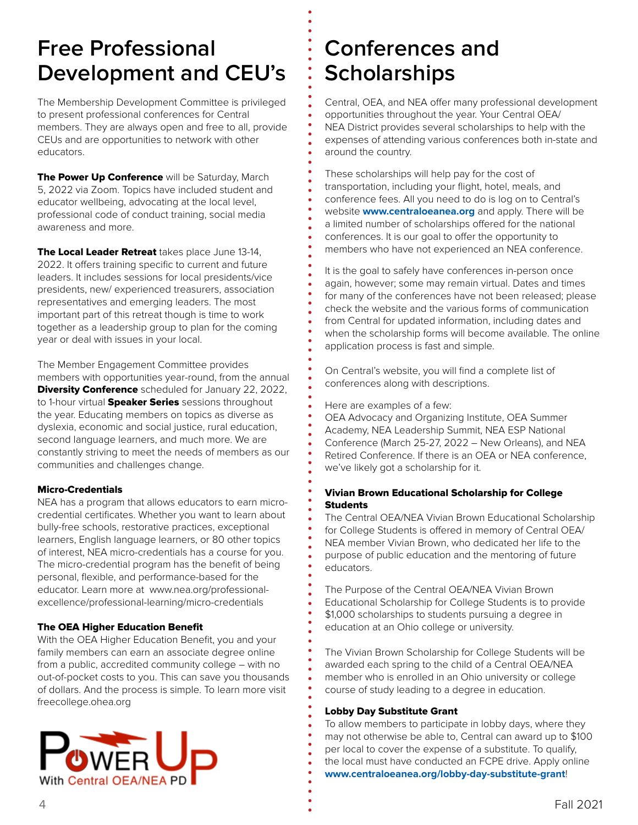## **Free Professional Development and CEU's**

The Membership Development Committee is privileged to present professional conferences for Central members. They are always open and free to all, provide CEUs and are opportunities to network with other educators.

The Power Up Conference will be Saturday, March 5, 2022 via Zoom. Topics have included student and educator wellbeing, advocating at the local level, professional code of conduct training, social media awareness and more.

The Local Leader Retreat takes place June 13-14, 2022. It offers training specific to current and future leaders. It includes sessions for local presidents/vice presidents, new/ experienced treasurers, association representatives and emerging leaders. The most important part of this retreat though is time to work together as a leadership group to plan for the coming year or deal with issues in your local.

The Member Engagement Committee provides members with opportunities year-round, from the annual **Diversity Conference** scheduled for January 22, 2022, to 1-hour virtual **Speaker Series** sessions throughout the year. Educating members on topics as diverse as dyslexia, economic and social justice, rural education, second language learners, and much more. We are constantly striving to meet the needs of members as our communities and challenges change.

#### Micro-Credentials

NEA has a program that allows educators to earn microcredential certificates. Whether you want to learn about bully-free schools, restorative practices, exceptional learners, English language learners, or 80 other topics of interest, NEA micro-credentials has a course for you. The micro-credential program has the benefit of being personal, flexible, and performance-based for the educator. Learn more at www.nea.org/professionalexcellence/professional-learning/micro-credentials

#### The OEA Higher Education Benefit

With the OEA Higher Education Benefit, you and your family members can earn an associate degree online from a public, accredited community college – with no out-of-pocket costs to you. This can save you thousands of dollars. And the process is simple. To learn more visit freecollege.ohea.org



## **Conferences and Scholarships**

Central, OEA, and NEA offer many professional development opportunities throughout the year. Your Central OEA/ NEA District provides several scholarships to help with the expenses of attending various conferences both in-state and around the country.

These scholarships will help pay for the cost of transportation, including your flight, hotel, meals, and conference fees. All you need to do is log on to Central's website **www.centraloeanea.org** and apply. There will be a limited number of scholarships offered for the national conferences. It is our goal to offer the opportunity to members who have not experienced an NEA conference.

It is the goal to safely have conferences in-person once again, however; some may remain virtual. Dates and times for many of the conferences have not been released; please check the website and the various forms of communication from Central for updated information, including dates and when the scholarship forms will become available. The online application process is fast and simple.

On Central's website, you will find a complete list of conferences along with descriptions.

Here are examples of a few:

OEA Advocacy and Organizing Institute, OEA Summer Academy, NEA Leadership Summit, NEA ESP National Conference (March 25-27, 2022 – New Orleans), and NEA Retired Conference. If there is an OEA or NEA conference, we've likely got a scholarship for it.

#### Vivian Brown Educational Scholarship for College **Students**

The Central OEA/NEA Vivian Brown Educational Scholarship for College Students is offered in memory of Central OEA/ NEA member Vivian Brown, who dedicated her life to the purpose of public education and the mentoring of future educators.

The Purpose of the Central OEA/NEA Vivian Brown Educational Scholarship for College Students is to provide \$1,000 scholarships to students pursuing a degree in education at an Ohio college or university.

The Vivian Brown Scholarship for College Students will be awarded each spring to the child of a Central OEA/NEA member who is enrolled in an Ohio university or college course of study leading to a degree in education.

#### Lobby Day Substitute Grant

To allow members to participate in lobby days, where they may not otherwise be able to, Central can award up to \$100 per local to cover the expense of a substitute. To qualify, the local must have conducted an FCPE drive. Apply online **www.centraloeanea.org/lobby-day-substitute-grant**!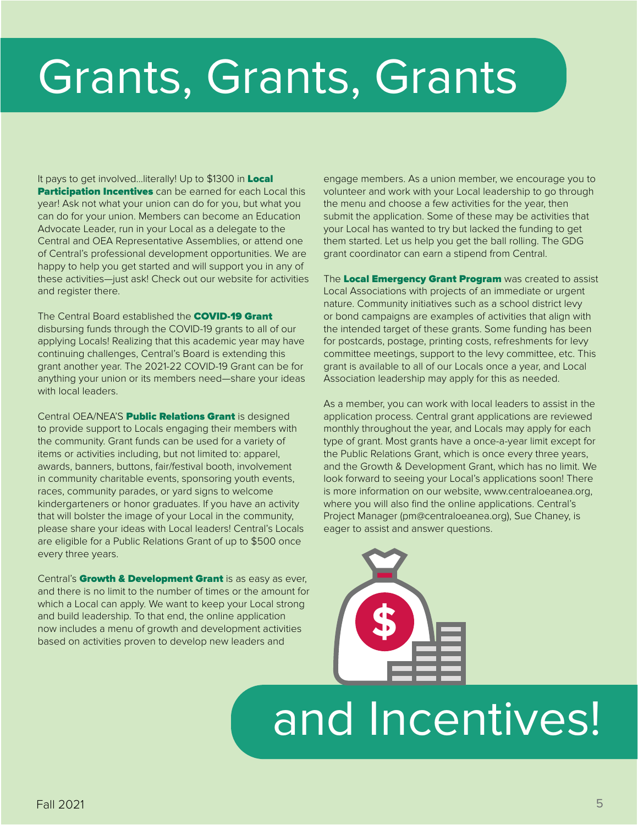# Grants, Grants, Grants

It pays to get involved...literally! Up to \$1300 in Local **Participation Incentives** can be earned for each Local this year! Ask not what your union can do for you, but what you can do for your union. Members can become an Education Advocate Leader, run in your Local as a delegate to the Central and OEA Representative Assemblies, or attend one of Central's professional development opportunities. We are happy to help you get started and will support you in any of these activities—just ask! Check out our website for activities and register there.

The Central Board established the **COVID-19 Grant** disbursing funds through the COVID-19 grants to all of our applying Locals! Realizing that this academic year may have continuing challenges, Central's Board is extending this grant another year. The 2021-22 COVID-19 Grant can be for anything your union or its members need—share your ideas with local leaders.

Central OEA/NEA'S Public Relations Grant is designed to provide support to Locals engaging their members with the community. Grant funds can be used for a variety of items or activities including, but not limited to: apparel, awards, banners, buttons, fair/festival booth, involvement in community charitable events, sponsoring youth events, races, community parades, or yard signs to welcome kindergarteners or honor graduates. If you have an activity that will bolster the image of your Local in the community, please share your ideas with Local leaders! Central's Locals are eligible for a Public Relations Grant of up to \$500 once every three years.

Central's Growth & Development Grant is as easy as ever, and there is no limit to the number of times or the amount for which a Local can apply. We want to keep your Local strong and build leadership. To that end, the online application now includes a menu of growth and development activities based on activities proven to develop new leaders and

engage members. As a union member, we encourage you to volunteer and work with your Local leadership to go through the menu and choose a few activities for the year, then submit the application. Some of these may be activities that your Local has wanted to try but lacked the funding to get them started. Let us help you get the ball rolling. The GDG grant coordinator can earn a stipend from Central.

The Local Emergency Grant Program was created to assist Local Associations with projects of an immediate or urgent nature. Community initiatives such as a school district levy or bond campaigns are examples of activities that align with the intended target of these grants. Some funding has been for postcards, postage, printing costs, refreshments for levy committee meetings, support to the levy committee, etc. This grant is available to all of our Locals once a year, and Local Association leadership may apply for this as needed.

As a member, you can work with local leaders to assist in the application process. Central grant applications are reviewed monthly throughout the year, and Locals may apply for each type of grant. Most grants have a once-a-year limit except for the Public Relations Grant, which is once every three years, and the Growth & Development Grant, which has no limit. We look forward to seeing your Local's applications soon! There is more information on our website, www.centraloeanea.org, where you will also find the online applications. Central's Project Manager (pm@centraloeanea.org), Sue Chaney, is eager to assist and answer questions.



**\$**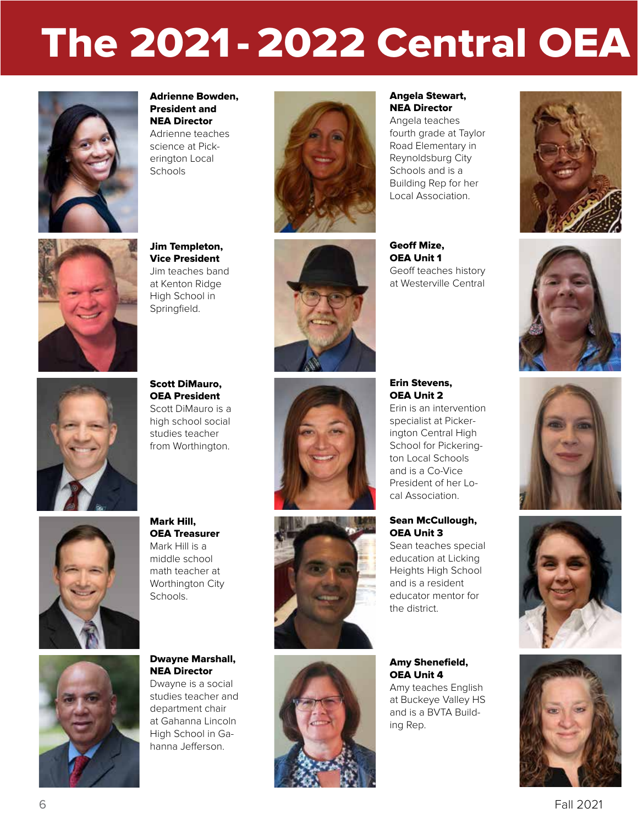# The 2021 - 2022 Central OEA



Adrienne Bowden, President and NEA Director Adrienne teaches science at Pick-

erington Local **Schools** 



Angela Stewart, NEA Director

Angela teaches fourth grade at Taylor Road Elementary in Reynoldsburg City Schools and is a Building Rep for her Local Association.







Jim Templeton, Vice President Jim teaches band at Kenton Ridge High School in Springfield.



Geoff Mize, OEA Unit 1 Geoff teaches history at Westerville Central



OEA President Scott DiMauro is a high school social studies teacher from Worthington.

Scott DiMauro,



Mark Hill, OEA Treasurer Mark Hill is a middle school math teacher at Worthington City Schools.





Erin Stevens, OEA Unit 2

Erin is an intervention specialist at Pickerington Central High School for Pickerington Local Schools and is a Co-Vice President of her Local Association.

#### Sean McCullough, OEA Unit 3

Sean teaches special education at Licking Heights High School and is a resident educator mentor for the district.

Amy Shenefield, OEA Unit 4

Amy teaches English at Buckeye Valley HS and is a BVTA Building Rep.









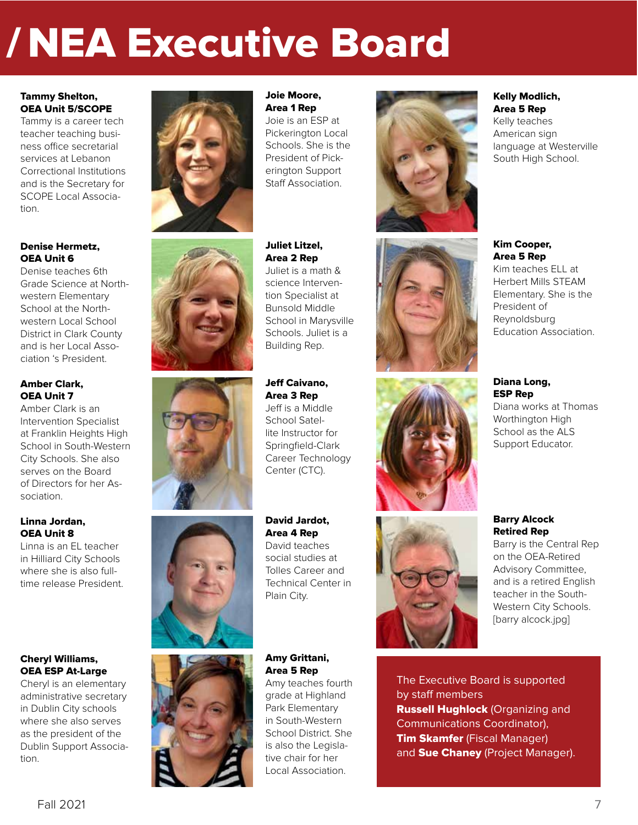# / NEA Executive Board

#### Tammy Shelton, OEA Unit 5/SCOPE

Tammy is a career tech teacher teaching business office secretarial services at Lebanon Correctional Institutions and is the Secretary for SCOPE Local Association.

#### Denise Hermetz, OEA Unit 6

Denise teaches 6th Grade Science at Northwestern Elementary School at the Northwestern Local School District in Clark County and is her Local Association 's President.

#### Amber Clark, OEA Unit 7

Amber Clark is an Intervention Specialist at Franklin Heights High School in South-Western City Schools. She also serves on the Board of Directors for her Association.

#### Linna Jordan, OEA Unit 8

Linna is an EL teacher in Hilliard City Schools where she is also fulltime release President.

#### Cheryl Williams, OEA ESP At-Large

Cheryl is an elementary administrative secretary in Dublin City schools where she also serves as the president of the Dublin Support Association.





#### Joie Moore, Area 1 Rep

Juliet Litzel, Area 2 Rep Juliet is a math & science Intervention Specialist at

Joie is an ESP at Pickerington Local Schools. She is the President of Pickerington Support Staff Association.



## Bunsold Middle School in Marysville Schools. Juliet is a Building Rep. Jeff Caivano, Area 3 Rep



Amy Grittani,

Plain City.

Area 5 Rep Amy teaches fourth grade at Highland Park Elementary in South-Western School District. She is also the Legislative chair for her Local Association.





Kelly Modlich, Area 5 Rep Kelly teaches American sign

language at Westerville South High School.

Kim teaches ELL at Herbert Mills STEAM Elementary. She is the President of Reynoldsburg Education Association.

#### Diana Long, ESP Rep

Diana works at Thomas Worthington High School as the ALS Support Educator.

#### Barry Alcock Retired Rep Barry is the Central Rep

on the OEA-Retired Advisory Committee, and is a retired English teacher in the South-Western City Schools. [barry alcock.jpg]

The Executive Board is supported by staff members **Russell Hughlock** (Organizing and Communications Coordinator), **Tim Skamfer** (Fiscal Manager) and Sue Chaney (Project Manager).

Jeff is a Middle School Satellite Instructor for Springfield-Clark Career Technology Center (CTC).

David Jardot, Area 4 Rep David teaches social studies at Tolles Career and Technical Center in

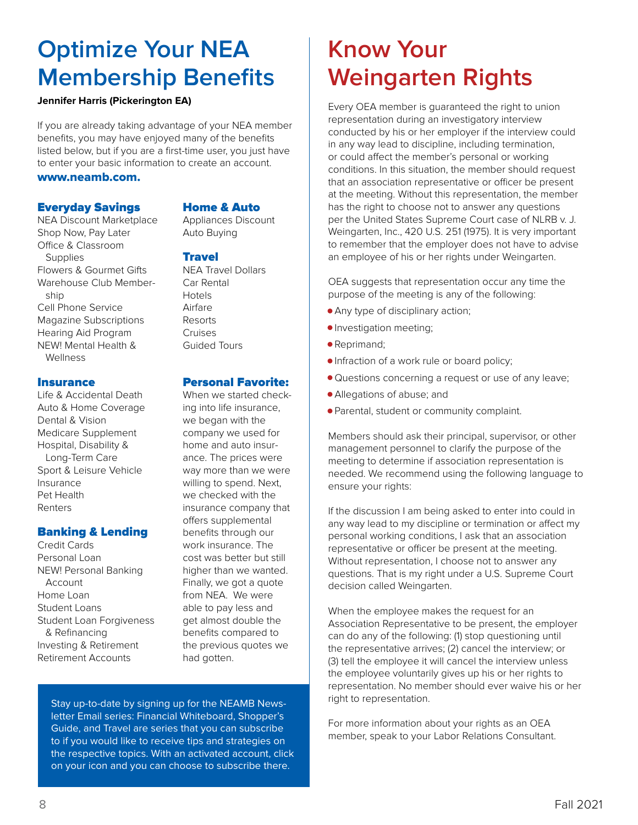## **Optimize Your NEA Membership Benefits**

#### **Jennifer Harris (Pickerington EA)**

If you are already taking advantage of your NEA member benefits, you may have enjoyed many of the benefits listed below, but if you are a first-time user, you just have to enter your basic information to create an account.

#### www.neamb.com.

#### Everyday Savings

NEA Discount Marketplace Shop Now, Pay Later Office & Classroom Supplies Flowers & Gourmet Gifts Warehouse Club Member ship Cell Phone Service Magazine Subscriptions Hearing Aid Program NEW! Mental Health & Wellness

#### Insurance

Life & Accidental Death Auto & Home Coverage Dental & Vision Medicare Supplement Hospital, Disability & Long-Term Care Sport & Leisure Vehicle Insurance Pet Health Renters

#### Banking & Lending

Credit Cards Personal Loan NEW! Personal Banking Account Home Loan Student Loans Student Loan Forgiveness & Refinancing Investing & Retirement Retirement Accounts

#### Home & Auto

Appliances Discount Auto Buying

#### **Travel**

NEA Travel Dollars Car Rental Hotels Airfare Resorts Cruises Guided Tours

#### Personal Favorite:

When we started checking into life insurance, we began with the company we used for home and auto insurance. The prices were way more than we were willing to spend. Next, we checked with the insurance company that offers supplemental benefits through our work insurance. The cost was better but still higher than we wanted. Finally, we got a quote from NEA. We were able to pay less and get almost double the benefits compared to the previous quotes we had gotten.

Stay up-to-date by signing up for the NEAMB Newsletter Email series: Financial Whiteboard, Shopper's Guide, and Travel are series that you can subscribe to if you would like to receive tips and strategies on the respective topics. With an activated account, click on your icon and you can choose to subscribe there.

# **Know Your Weingarten Rights**

Every OEA member is guaranteed the right to union representation during an investigatory interview conducted by his or her employer if the interview could in any way lead to discipline, including termination, or could affect the member's personal or working conditions. In this situation, the member should request that an association representative or officer be present at the meeting. Without this representation, the member has the right to choose not to answer any questions per the United States Supreme Court case of NLRB v. J. Weingarten, Inc., 420 U.S. 251 (1975). It is very important to remember that the employer does not have to advise an employee of his or her rights under Weingarten.

OEA suggests that representation occur any time the purpose of the meeting is any of the following:

- Any type of disciplinary action;
- Investigation meeting;
- Reprimand;
- Infraction of a work rule or board policy;
- Questions concerning a request or use of any leave;
- Allegations of abuse; and
- Parental, student or community complaint.

Members should ask their principal, supervisor, or other management personnel to clarify the purpose of the meeting to determine if association representation is needed. We recommend using the following language to ensure your rights:

If the discussion I am being asked to enter into could in any way lead to my discipline or termination or affect my personal working conditions, I ask that an association representative or officer be present at the meeting. Without representation, I choose not to answer any questions. That is my right under a U.S. Supreme Court decision called Weingarten.

When the employee makes the request for an Association Representative to be present, the employer can do any of the following: (1) stop questioning until the representative arrives; (2) cancel the interview; or (3) tell the employee it will cancel the interview unless the employee voluntarily gives up his or her rights to representation. No member should ever waive his or her right to representation.

For more information about your rights as an OEA member, speak to your Labor Relations Consultant.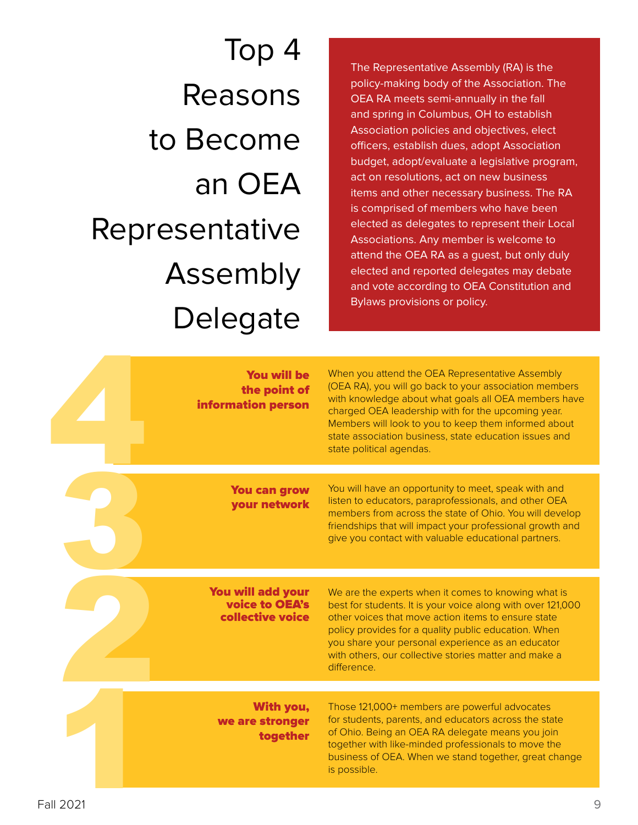Top 4 Reasons to Become an OEA Representative Assembly Delegate

The Representative Assembly (RA) is the policy-making body of the Association. The OEA RA meets semi-annually in the fall and spring in Columbus, OH to establish Association policies and objectives, elect officers, establish dues, adopt Association budget, adopt/evaluate a legislative program, act on resolutions, act on new business items and other necessary business. The RA is comprised of members who have been elected as delegates to represent their Local Associations. Any member is welcome to attend the OEA RA as a guest, but only duly elected and reported delegates may debate and vote according to OEA Constitution and Bylaws provisions or policy.

|          | <b>You will be</b><br>the point of<br>information person       | When you attend the OEA Representative Assembly<br>(OEA RA), you will go back to your association members<br>with knowledge about what goals all OEA members have<br>charged OEA leadership with for the upcoming year.<br>Members will look to you to keep them informed about<br>state association business, state education issues and<br>state political agendas. |
|----------|----------------------------------------------------------------|-----------------------------------------------------------------------------------------------------------------------------------------------------------------------------------------------------------------------------------------------------------------------------------------------------------------------------------------------------------------------|
|          |                                                                |                                                                                                                                                                                                                                                                                                                                                                       |
|          | <b>You can grow</b><br>your network                            | You will have an opportunity to meet, speak with and<br>listen to educators, paraprofessionals, and other OEA<br>members from across the state of Ohio. You will develop<br>friendships that will impact your professional growth and<br>give you contact with valuable educational partners.                                                                         |
|          |                                                                |                                                                                                                                                                                                                                                                                                                                                                       |
|          | <b>You will add your</b><br>voice to OEA's<br>collective voice | We are the experts when it comes to knowing what is<br>best for students. It is your voice along with over 121,000<br>other voices that move action items to ensure state<br>policy provides for a quality public education. When<br>you share your personal experience as an educator<br>with others, our collective stories matter and make a<br>difference.        |
|          |                                                                |                                                                                                                                                                                                                                                                                                                                                                       |
|          | With you,<br>we are stronger<br>together                       | Those 121,000+ members are powerful advocates<br>for students, parents, and educators across the state<br>of Ohio. Being an OEA RA delegate means you join<br>together with like-minded professionals to move the<br>business of OEA. When we stand together, great change<br>is possible.                                                                            |
| all 2021 |                                                                |                                                                                                                                                                                                                                                                                                                                                                       |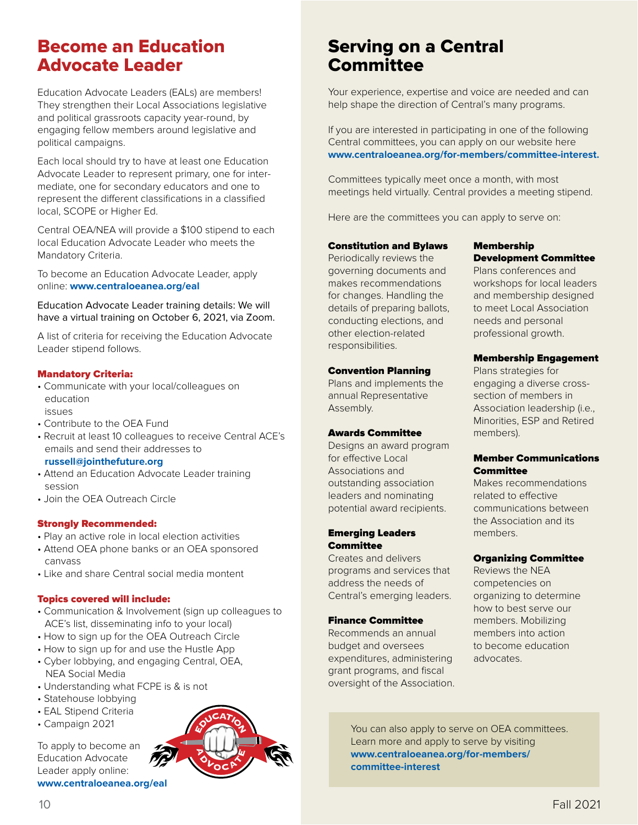### Become an Education Advocate Leader

Education Advocate Leaders (EALs) are members! They strengthen their Local Associations legislative and political grassroots capacity year-round, by engaging fellow members around legislative and political campaigns.

Each local should try to have at least one Education Advocate Leader to represent primary, one for intermediate, one for secondary educators and one to represent the different classifications in a classified local, SCOPE or Higher Ed.

Central OEA/NEA will provide a \$100 stipend to each local Education Advocate Leader who meets the Mandatory Criteria.

To become an Education Advocate Leader, apply online: **www.centraloeanea.org/eal**

Education Advocate Leader training details: We will have a virtual training on October 6, 2021, via Zoom.

A list of criteria for receiving the Education Advocate Leader stipend follows.

#### Mandatory Criteria:

- Communicate with your local/colleagues on education issues
- Contribute to the OEA Fund
- Recruit at least 10 colleagues to receive Central ACE's emails and send their addresses to

#### **russell@jointhefuture.org**

- Attend an Education Advocate Leader training session
- Join the OEA Outreach Circle

#### Strongly Recommended:

- Play an active role in local election activities
- Attend OEA phone banks or an OEA sponsored canvass
- Like and share Central social media montent

#### Topics covered will include:

- Communication & Involvement (sign up colleagues to ACE's list, disseminating info to your local)
- How to sign up for the OEA Outreach Circle
- How to sign up for and use the Hustle App
- Cyber lobbying, and engaging Central, OEA, NEA Social Media
- Understanding what FCPE is & is not
- Statehouse lobbying
- EAL Stipend Criteria
- Campaign 2021

To apply to become an Education Advocate Leader apply online: **www.centraloeanea.org/eal**



### Serving on a Central **Committee**

Your experience, expertise and voice are needed and can help shape the direction of Central's many programs.

If you are interested in participating in one of the following Central committees, you can apply on our website here **www.centraloeanea.org/for-members/committee-interest.** 

Committees typically meet once a month, with most meetings held virtually. Central provides a meeting stipend.

Here are the committees you can apply to serve on:

#### Constitution and Bylaws

Periodically reviews the governing documents and makes recommendations for changes. Handling the details of preparing ballots, conducting elections, and other election-related responsibilities.

#### Convention Planning

Plans and implements the annual Representative Assembly.

#### Awards Committee

Designs an award program for effective Local Associations and outstanding association leaders and nominating potential award recipients.

#### Emerging Leaders **Committee**

Creates and delivers programs and services that address the needs of Central's emerging leaders.

#### Finance Committee

Recommends an annual budget and oversees expenditures, administering grant programs, and fiscal oversight of the Association.

#### Membership Development Committee

Plans conferences and workshops for local leaders and membership designed to meet Local Association needs and personal professional growth.

#### Membership Engagement

Plans strategies for engaging a diverse crosssection of members in Association leadership (i.e., Minorities, ESP and Retired members).

#### Member Communications **Committee**

Makes recommendations related to effective communications between the Association and its members.

#### Organizing Committee

Reviews the NEA competencies on organizing to determine how to best serve our members. Mobilizing members into action to become education advocates.

You can also apply to serve on OEA committees. Learn more and apply to serve by visiting **www.centraloeanea.org/for-members/ committee-interest**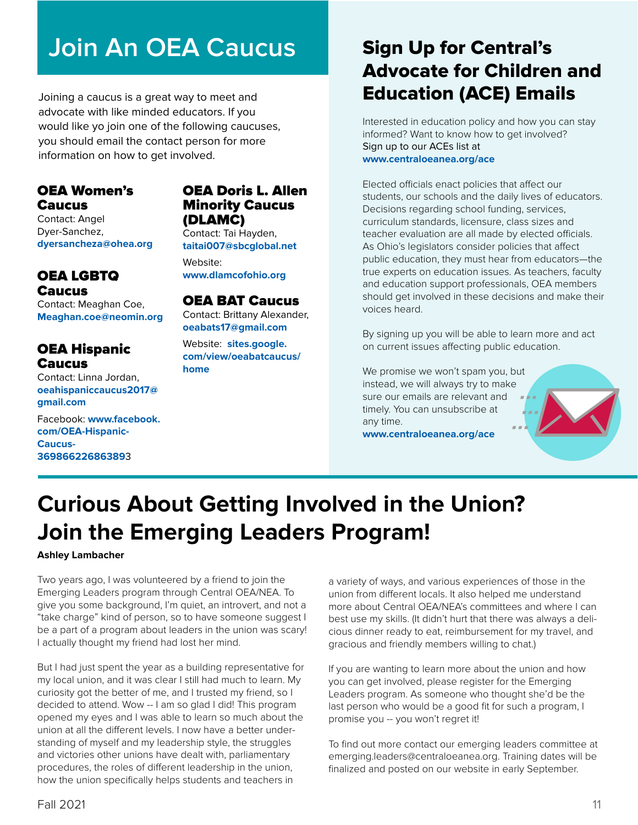# **Join An OEA Caucus**

Joining a caucus is a great way to meet and advocate with like minded educators. If you would like yo join one of the following caucuses, you should email the contact person for more information on how to get involved.

#### OEA Women's Caucus

Contact: Angel Dyer-Sanchez, **dyersancheza@ohea.org**

#### OEA LGBTQ Caucus

Contact: Meaghan Coe, **Meaghan.coe@neomin.org**

#### OEA Hispanic Caucus

Contact: Linna Jordan, **oeahispaniccaucus2017@ gmail.com**

Facebook: **www.facebook. com/OEA-Hispanic-Caucus-36986622686389**3

#### OEA Doris L. Allen Minority Caucus (DLAMC)

Contact: Tai Hayden, **taitai007@sbcglobal.net**

Website: **www.dlamcofohio.org**

#### OEA BAT Caucus

Contact: Brittany Alexander, **oeabats17@gmail.com**

Website: **sites.google. com/view/oeabatcaucus/ home**

## Sign Up for Central's Advocate for Children and Education (ACE) Emails

Interested in education policy and how you can stay informed? Want to know how to get involved? Sign up to our ACEs list at **www.centraloeanea.org/ace**

Elected officials enact policies that affect our students, our schools and the daily lives of educators. Decisions regarding school funding, services, curriculum standards, licensure, class sizes and teacher evaluation are all made by elected officials. As Ohio's legislators consider policies that affect public education, they must hear from educators—the true experts on education issues. As teachers, faculty and education support professionals, OEA members should get involved in these decisions and make their voices heard.

By signing up you will be able to learn more and act on current issues affecting public education.

We promise we won't spam you, but instead, we will always try to make sure our emails are relevant and timely. You can unsubscribe at any time.

**www.centraloeanea.org/ace**



# **Curious About Getting Involved in the Union? Join the Emerging Leaders Program!**

#### **Ashley Lambacher**

Two years ago, I was volunteered by a friend to join the Emerging Leaders program through Central OEA/NEA. To give you some background, I'm quiet, an introvert, and not a "take charge" kind of person, so to have someone suggest I be a part of a program about leaders in the union was scary! I actually thought my friend had lost her mind.

But I had just spent the year as a building representative for my local union, and it was clear I still had much to learn. My curiosity got the better of me, and I trusted my friend, so I decided to attend. Wow -- I am so glad I did! This program opened my eyes and I was able to learn so much about the union at all the different levels. I now have a better understanding of myself and my leadership style, the struggles and victories other unions have dealt with, parliamentary procedures, the roles of different leadership in the union, how the union specifically helps students and teachers in

a variety of ways, and various experiences of those in the union from different locals. It also helped me understand more about Central OEA/NEA's committees and where I can best use my skills. (It didn't hurt that there was always a delicious dinner ready to eat, reimbursement for my travel, and gracious and friendly members willing to chat.)

If you are wanting to learn more about the union and how you can get involved, please register for the Emerging Leaders program. As someone who thought she'd be the last person who would be a good fit for such a program, I promise you -- you won't regret it!

To find out more contact our emerging leaders committee at emerging.leaders@centraloeanea.org. Training dates will be finalized and posted on our website in early September.